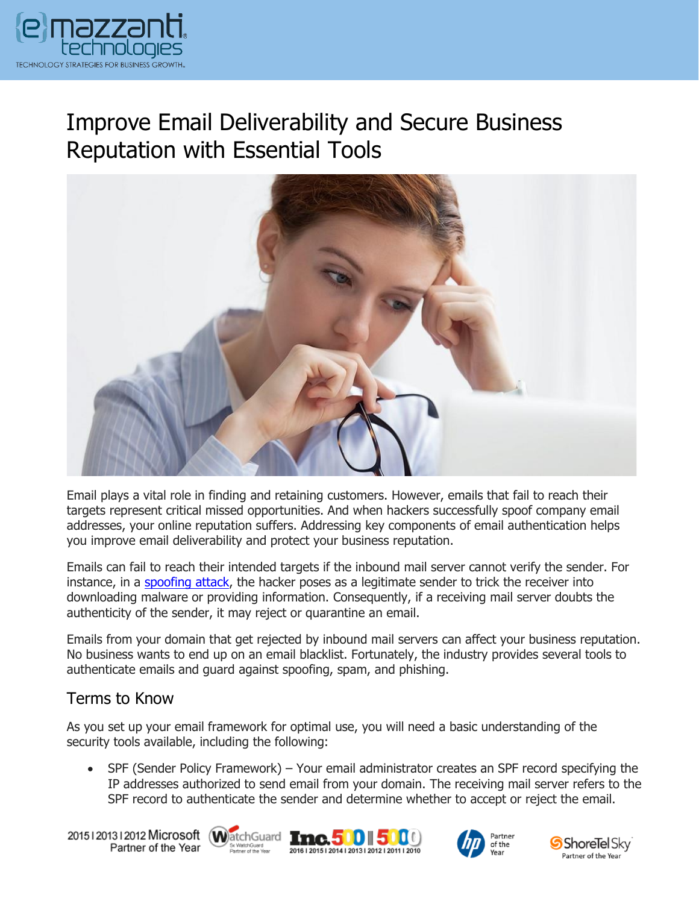

## Improve Email Deliverability and Secure Business Reputation with Essential Tools



Email plays a vital role in finding and retaining customers. However, emails that fail to reach their targets represent critical missed opportunities. And when hackers successfully spoof company email addresses, your online reputation suffers. Addressing key components of email authentication helps you improve email deliverability and protect your business reputation.

Emails can fail to reach their intended targets if the inbound mail server cannot verify the sender. For instance, in a [spoofing](https://messagingarchitects.com/covid-19-phishing-scams/) attack, the hacker poses as a legitimate sender to trick the receiver into downloading malware or providing information. Consequently, if a receiving mail server doubts the authenticity of the sender, it may reject or quarantine an email.

Emails from your domain that get rejected by inbound mail servers can affect your business reputation. No business wants to end up on an email blacklist. Fortunately, the industry provides several tools to authenticate emails and guard against spoofing, spam, and phishing.

## Terms to Know

As you set up your email framework for optimal use, you will need a basic understanding of the security tools available, including the following:

• SPF (Sender Policy Framework) – Your email administrator creates an SPF record specifying the IP addresses authorized to send email from your domain. The receiving mail server refers to the SPF record to authenticate the sender and determine whether to accept or reject the email.

20151201312012 Microsoft WatchGuard Tnc. 500 500 Partner of the Year







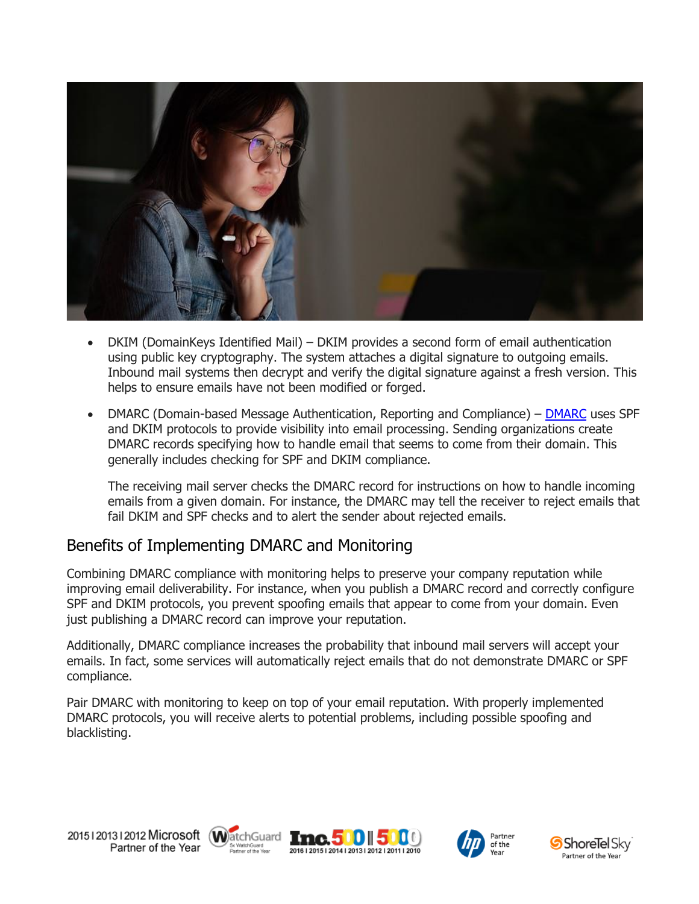

- DKIM (DomainKeys Identified Mail) DKIM provides a second form of email authentication using public key cryptography. The system attaches a digital signature to outgoing emails. Inbound mail systems then decrypt and verify the digital signature against a fresh version. This helps to ensure emails have not been modified or forged.
- [DMARC](https://www.emazzanti.net/email-protection-services/) (Domain-based Message Authentication, Reporting and Compliance) DMARC uses SPF and DKIM protocols to provide visibility into email processing. Sending organizations create DMARC records specifying how to handle email that seems to come from their domain. This generally includes checking for SPF and DKIM compliance.

The receiving mail server checks the DMARC record for instructions on how to handle incoming emails from a given domain. For instance, the DMARC may tell the receiver to reject emails that fail DKIM and SPF checks and to alert the sender about rejected emails.

## Benefits of Implementing DMARC and Monitoring

Combining DMARC compliance with monitoring helps to preserve your company reputation while improving email deliverability. For instance, when you publish a DMARC record and correctly configure SPF and DKIM protocols, you prevent spoofing emails that appear to come from your domain. Even just publishing a DMARC record can improve your reputation.

Additionally, DMARC compliance increases the probability that inbound mail servers will accept your emails. In fact, some services will automatically reject emails that do not demonstrate DMARC or SPF compliance.

Pair DMARC with monitoring to keep on top of your email reputation. With properly implemented DMARC protocols, you will receive alerts to potential problems, including possible spoofing and blacklisting.